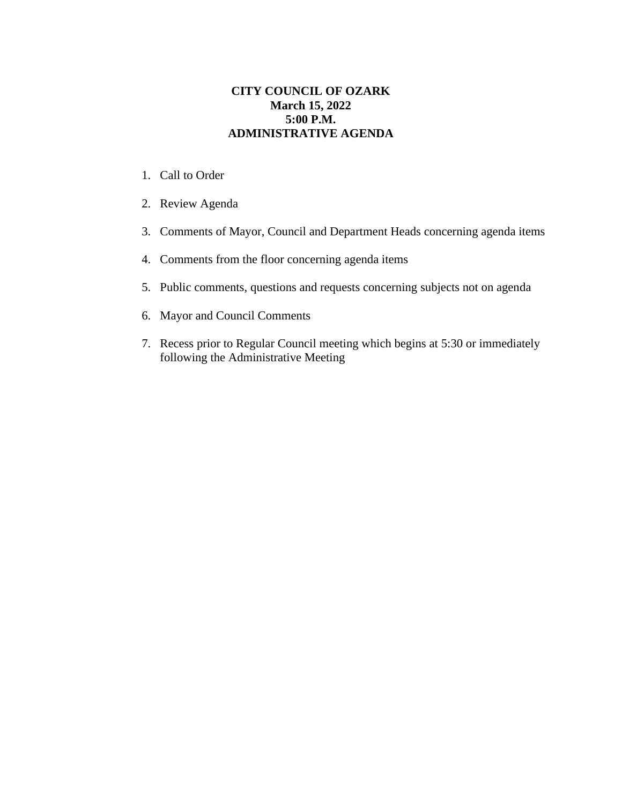## **CITY COUNCIL OF OZARK March 15, 2022 5:00 P.M. ADMINISTRATIVE AGENDA**

- 1. Call to Order
- 2. Review Agenda
- 3. Comments of Mayor, Council and Department Heads concerning agenda items
- 4. Comments from the floor concerning agenda items
- 5. Public comments, questions and requests concerning subjects not on agenda
- 6. Mayor and Council Comments
- 7. Recess prior to Regular Council meeting which begins at 5:30 or immediately following the Administrative Meeting